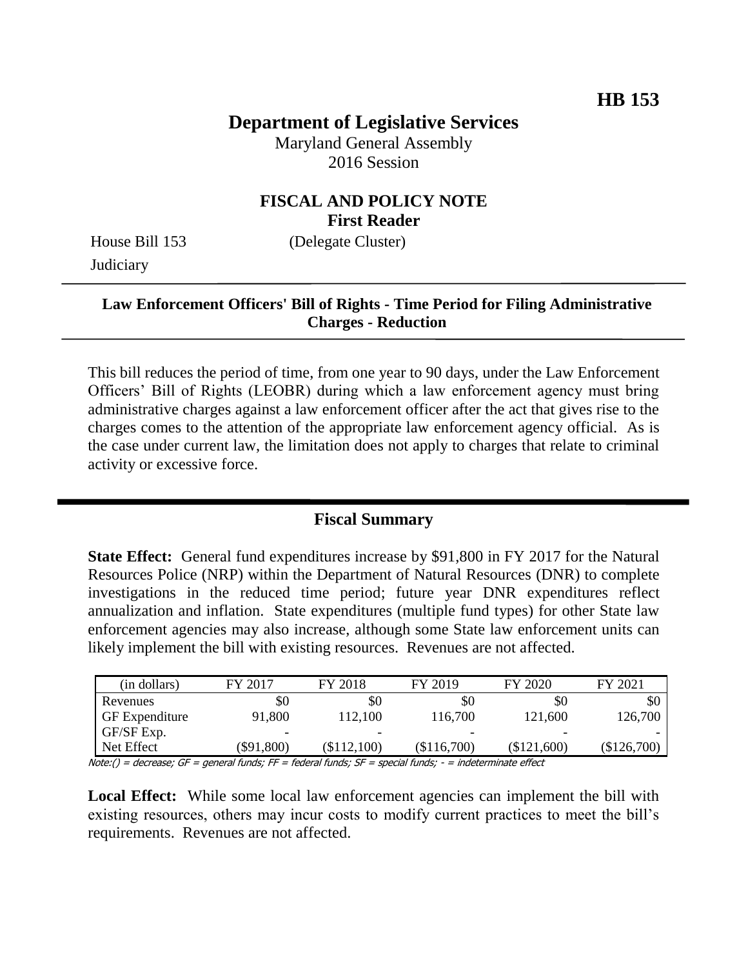# **Department of Legislative Services**

Maryland General Assembly 2016 Session

## **FISCAL AND POLICY NOTE First Reader**

House Bill 153 (Delegate Cluster) **Judiciary** 

## **Law Enforcement Officers' Bill of Rights - Time Period for Filing Administrative Charges - Reduction**

This bill reduces the period of time, from one year to 90 days, under the Law Enforcement Officers' Bill of Rights (LEOBR) during which a law enforcement agency must bring administrative charges against a law enforcement officer after the act that gives rise to the charges comes to the attention of the appropriate law enforcement agency official. As is the case under current law, the limitation does not apply to charges that relate to criminal activity or excessive force.

### **Fiscal Summary**

**State Effect:** General fund expenditures increase by \$91,800 in FY 2017 for the Natural Resources Police (NRP) within the Department of Natural Resources (DNR) to complete investigations in the reduced time period; future year DNR expenditures reflect annualization and inflation. State expenditures (multiple fund types) for other State law enforcement agencies may also increase, although some State law enforcement units can likely implement the bill with existing resources. Revenues are not affected.

| (in dollars)          | FY 2017      | FY 2018     | FY 2019     | FY 2020     | FY 2021     |
|-----------------------|--------------|-------------|-------------|-------------|-------------|
| Revenues              | \$0          | \$0         | \$0         | \$0         | SC          |
| <b>GF</b> Expenditure | 91,800       | 112,100     | 116,700     | 121,600     | 126,700     |
| GF/SF Exp.            | -            | -           | -           | -           |             |
| Net Effect            | $(\$91,800)$ | (\$112,100) | (\$116,700) | (\$121,600) | (\$126,700) |

Note:() = decrease; GF = general funds; FF = federal funds; SF = special funds; - = indeterminate effect

Local Effect: While some local law enforcement agencies can implement the bill with existing resources, others may incur costs to modify current practices to meet the bill's requirements. Revenues are not affected.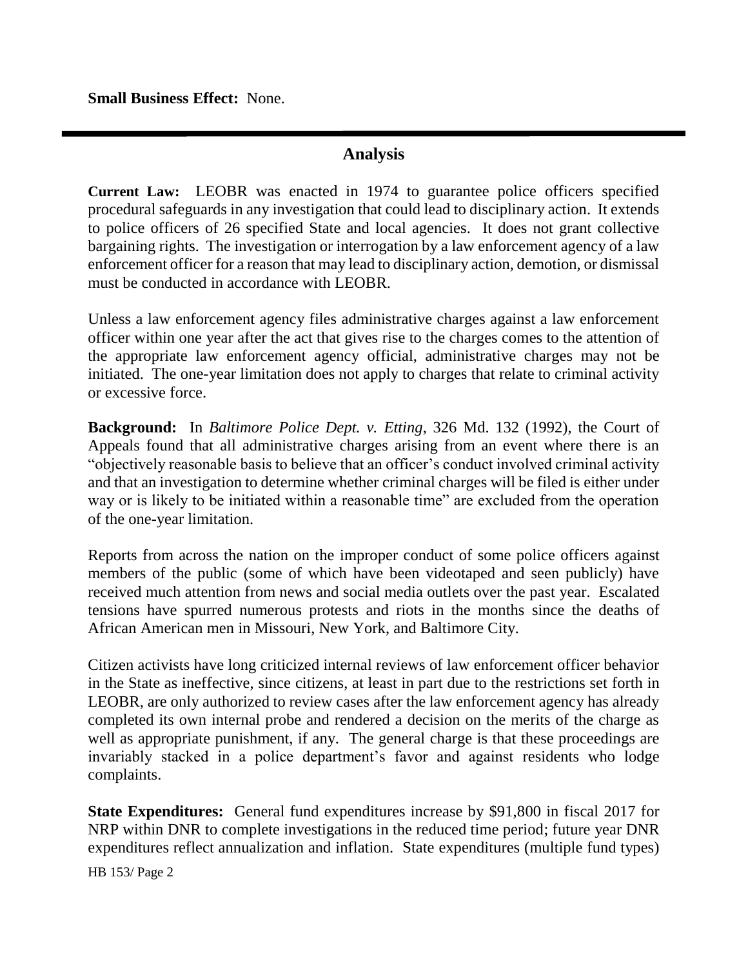**Small Business Effect:** None.

## **Analysis**

**Current Law:** LEOBR was enacted in 1974 to guarantee police officers specified procedural safeguards in any investigation that could lead to disciplinary action. It extends to police officers of 26 specified State and local agencies. It does not grant collective bargaining rights. The investigation or interrogation by a law enforcement agency of a law enforcement officer for a reason that may lead to disciplinary action, demotion, or dismissal must be conducted in accordance with LEOBR.

Unless a law enforcement agency files administrative charges against a law enforcement officer within one year after the act that gives rise to the charges comes to the attention of the appropriate law enforcement agency official, administrative charges may not be initiated. The one-year limitation does not apply to charges that relate to criminal activity or excessive force.

**Background:** In *Baltimore Police Dept. v. Etting*, 326 Md. 132 (1992), the Court of Appeals found that all administrative charges arising from an event where there is an "objectively reasonable basis to believe that an officer's conduct involved criminal activity and that an investigation to determine whether criminal charges will be filed is either under way or is likely to be initiated within a reasonable time" are excluded from the operation of the one-year limitation.

Reports from across the nation on the improper conduct of some police officers against members of the public (some of which have been videotaped and seen publicly) have received much attention from news and social media outlets over the past year. Escalated tensions have spurred numerous protests and riots in the months since the deaths of African American men in Missouri, New York, and Baltimore City.

Citizen activists have long criticized internal reviews of law enforcement officer behavior in the State as ineffective, since citizens, at least in part due to the restrictions set forth in LEOBR, are only authorized to review cases after the law enforcement agency has already completed its own internal probe and rendered a decision on the merits of the charge as well as appropriate punishment, if any. The general charge is that these proceedings are invariably stacked in a police department's favor and against residents who lodge complaints.

**State Expenditures:** General fund expenditures increase by \$91,800 in fiscal 2017 for NRP within DNR to complete investigations in the reduced time period; future year DNR expenditures reflect annualization and inflation. State expenditures (multiple fund types)

HB 153/ Page 2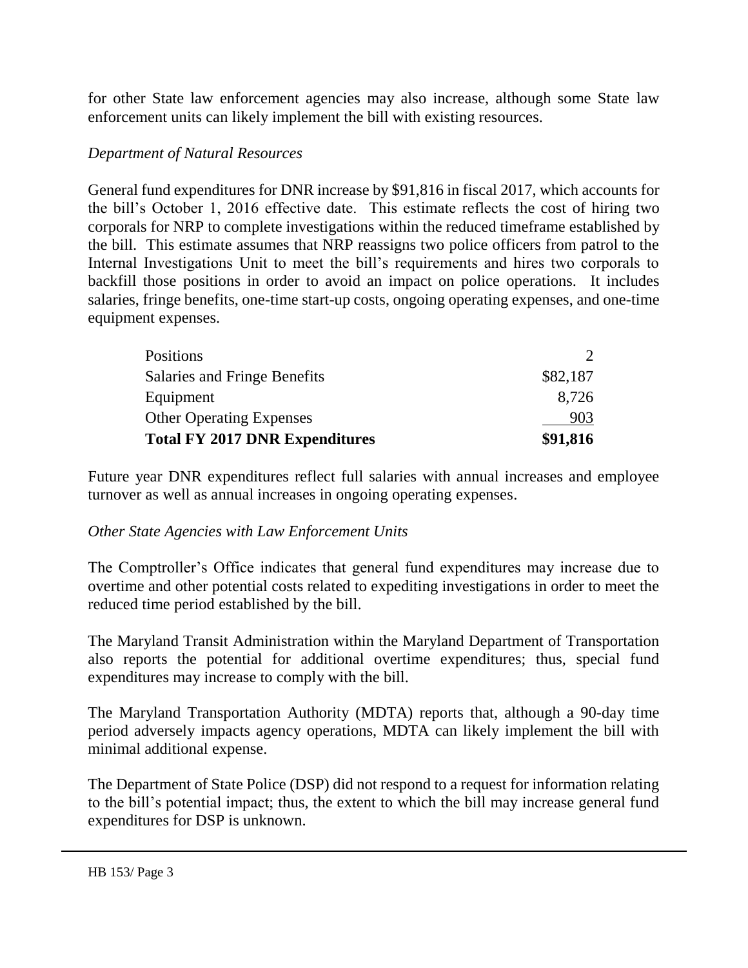for other State law enforcement agencies may also increase, although some State law enforcement units can likely implement the bill with existing resources.

### *Department of Natural Resources*

General fund expenditures for DNR increase by \$91,816 in fiscal 2017, which accounts for the bill's October 1, 2016 effective date. This estimate reflects the cost of hiring two corporals for NRP to complete investigations within the reduced timeframe established by the bill. This estimate assumes that NRP reassigns two police officers from patrol to the Internal Investigations Unit to meet the bill's requirements and hires two corporals to backfill those positions in order to avoid an impact on police operations. It includes salaries, fringe benefits, one-time start-up costs, ongoing operating expenses, and one-time equipment expenses.

| Positions                             |          |
|---------------------------------------|----------|
| Salaries and Fringe Benefits          | \$82,187 |
| Equipment                             | 8,726    |
| <b>Other Operating Expenses</b>       | 903      |
| <b>Total FY 2017 DNR Expenditures</b> | \$91,816 |

Future year DNR expenditures reflect full salaries with annual increases and employee turnover as well as annual increases in ongoing operating expenses.

### *Other State Agencies with Law Enforcement Units*

The Comptroller's Office indicates that general fund expenditures may increase due to overtime and other potential costs related to expediting investigations in order to meet the reduced time period established by the bill.

The Maryland Transit Administration within the Maryland Department of Transportation also reports the potential for additional overtime expenditures; thus, special fund expenditures may increase to comply with the bill.

The Maryland Transportation Authority (MDTA) reports that, although a 90-day time period adversely impacts agency operations, MDTA can likely implement the bill with minimal additional expense.

The Department of State Police (DSP) did not respond to a request for information relating to the bill's potential impact; thus, the extent to which the bill may increase general fund expenditures for DSP is unknown.